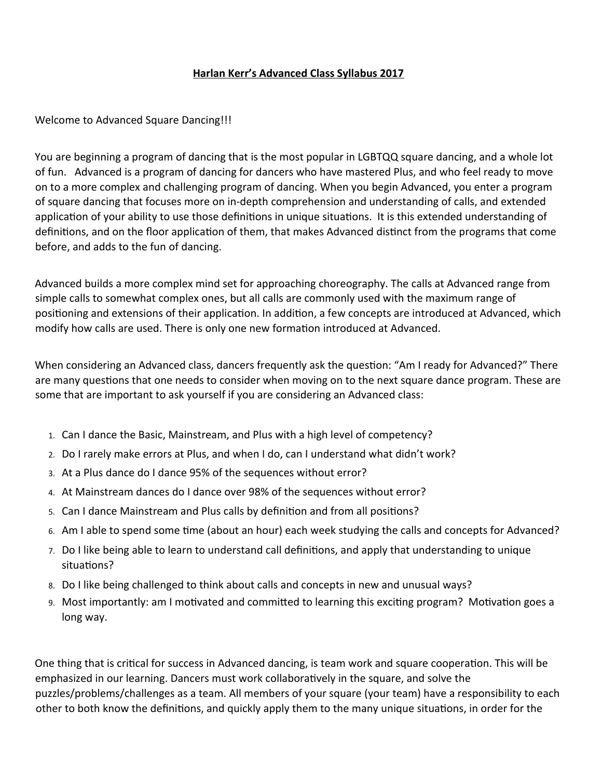# **Harlan Kerr's Advanced Class Syllabus 2017**

Welcome to Advanced Square Dancing!!!

You are beginning a program of dancing that is the most popular in LGBTQQ square dancing, and a whole lot of fun. Advanced is a program of dancing for dancers who have mastered Plus, and who feel ready to move on to a more complex and challenging program of dancing. When you begin Advanced, you enter a program of square dancing that focuses more on in-depth comprehension and understanding of calls, and extended application of your ability to use those definitions in unique situations. It is this extended understanding of definitions, and on the floor application of them, that makes Advanced distinct from the programs that come before, and adds to the fun of dancing.

Advanced builds a more complex mind set for approaching choreography. The calls at Advanced range from simple calls to somewhat complex ones, but all calls are commonly used with the maximum range of positioning and extensions of their application. In addition, a few concepts are introduced at Advanced, which modify how calls are used. There is only one new formation introduced at Advanced.

When considering an Advanced class, dancers frequently ask the question: "Am I ready for Advanced?" There are many questions that one needs to consider when moving on to the next square dance program. These are some that are important to ask yourself if you are considering an Advanced class:

- 1. Can I dance the Basic, Mainstream, and Plus with a high level of competency?
- 2. Do I rarely make errors at Plus, and when I do, can I understand what didn't work?
- 3. At a Plus dance do I dance 95% of the sequences without error?
- 4. At Mainstream dances do I dance over 98% of the sequences without error?
- 5. Can I dance Mainstream and Plus calls by defniton and from all positons?
- 6. Am I able to spend some time (about an hour) each week studying the calls and concepts for Advanced?
- 7. Do I like being able to learn to understand call defnitons, and apply that understanding to unique situations?
- 8. Do I like being challenged to think about calls and concepts in new and unusual ways?
- 9. Most importantly: am I motvated and commited to learning this excitng program? Motvaton goes a long way.

One thing that is critcal for success in Advanced dancing, is team work and square cooperaton. This will be emphasized in our learning. Dancers must work collaboratvely in the square, and solve the puzzles/problems/challenges as a team. All members of your square (your team) have a responsibility to each other to both know the definitions, and quickly apply them to the many unique situations, in order for the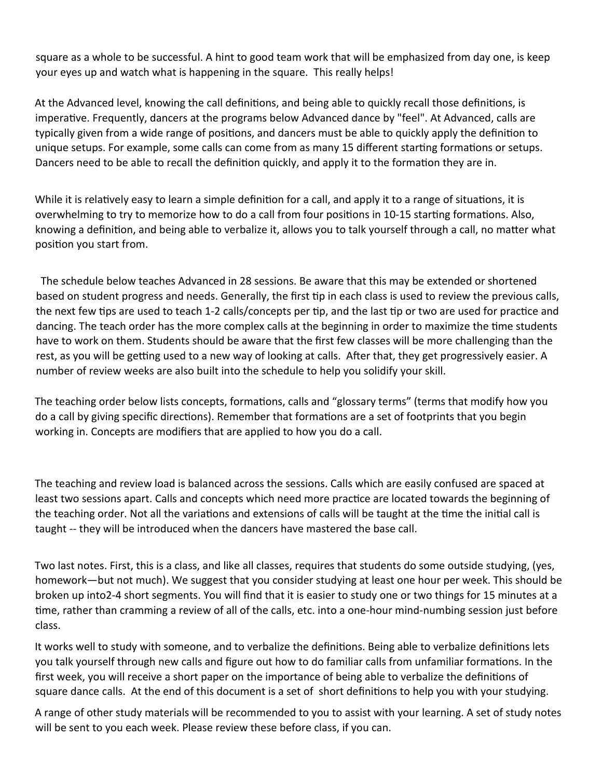square as a whole to be successful. A hint to good team work that will be emphasized from day one, is keep your eyes up and watch what is happening in the square. This really helps!

At the Advanced level, knowing the call definitions, and being able to quickly recall those definitions, is imperative. Frequently, dancers at the programs below Advanced dance by "feel". At Advanced, calls are typically given from a wide range of positions, and dancers must be able to quickly apply the definition to unique setups. For example, some calls can come from as many 15 different starting formations or setups. Dancers need to be able to recall the definition quickly, and apply it to the formation they are in.

While it is relatively easy to learn a simple definition for a call, and apply it to a range of situations, it is overwhelming to try to memorize how to do a call from four positons in 10-15 startng formatons. Also, knowing a defniton, and being able to verbalize it, allows you to talk yourself through a call, no mater what positon you start from.

 The schedule below teaches Advanced in 28 sessions. Be aware that this may be extended or shortened based on student progress and needs. Generally, the first tip in each class is used to review the previous calls, the next few tips are used to teach 1-2 calls/concepts per tip, and the last tip or two are used for practice and dancing. The teach order has the more complex calls at the beginning in order to maximize the tme students have to work on them. Students should be aware that the first few classes will be more challenging than the rest, as you will be getting used to a new way of looking at calls. After that, they get progressively easier. A number of review weeks are also built into the schedule to help you solidify your skill.

The teaching order below lists concepts, formations, calls and "glossary terms" (terms that modify how you do a call by giving specific directions). Remember that formations are a set of footprints that you begin working in. Concepts are modifers that are applied to how you do a call.

The teaching and review load is balanced across the sessions. Calls which are easily confused are spaced at least two sessions apart. Calls and concepts which need more practice are located towards the beginning of the teaching order. Not all the variations and extensions of calls will be taught at the time the initial call is taught -- they will be introduced when the dancers have mastered the base call.

Two last notes. First, this is a class, and like all classes, requires that students do some outside studying, (yes, homework—but not much). We suggest that you consider studying at least one hour per week. This should be broken up into2-4 short segments. You will fnd that it is easier to study one or two things for 15 minutes at a tme, rather than cramming a review of all of the calls, etc. into a one-hour mind-numbing session just before class.

It works well to study with someone, and to verbalize the definitions. Being able to verbalize definitions lets you talk yourself through new calls and fgure out how to do familiar calls from unfamiliar formatons. In the first week, you will receive a short paper on the importance of being able to verbalize the definitions of square dance calls. At the end of this document is a set of short definitions to help you with your studying.

A range of other study materials will be recommended to you to assist with your learning. A set of study notes will be sent to you each week. Please review these before class, if you can.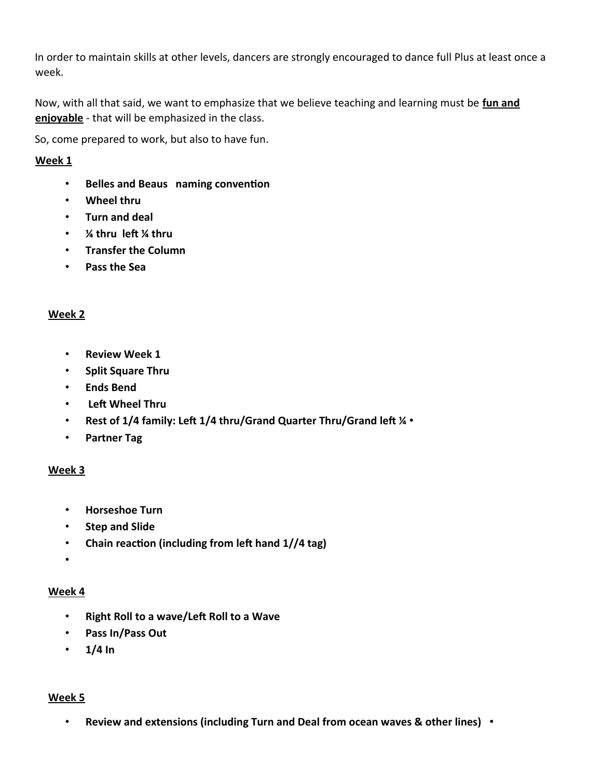In order to maintain skills at other levels, dancers are strongly encouraged to dance full Plus at least once a week.

Now, with all that said, we want to emphasize that we believe teaching and learning must be **fun and enjoyable** - that will be emphasized in the class.

So, come prepared to work, but also to have fun.

# **Week 1**

- **Belles and Beaus naming conventon**
- **Wheel thru**
- **Turn and deal**
- *1*⁄4 thru left 1⁄4 thru
- **Transfer the Column**
- **Pass the Sea**

# **Week 2**

- **Review Week 1**
- **Split Square Thru**
- **Ends Bend**
- Left Wheel Thru
- Rest of 1/4 family: Left 1/4 thru/Grand Quarter Thru/Grand left  $\frac{1}{4}$  •
- **Partner Tag**

# **Week 3**

- **Horseshoe Turn**
- **Step and Slide**
- Chain reaction (including from left hand 1//4 tag)
- •

# **Week 4**

- **Right Roll to a wave/Lef Roll to a Wave**
- **Pass In/Pass Out**
- **1/4 In**

# **Week 5**

• **Review and extensions (including Turn and Deal from ocean waves & other lines)** •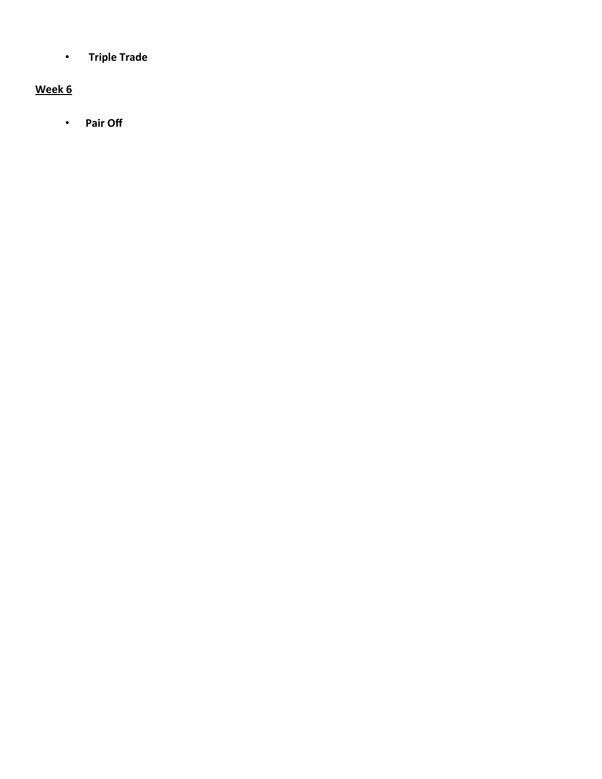• **Triple Trade** 

# **Week 6**

• **Pair Off**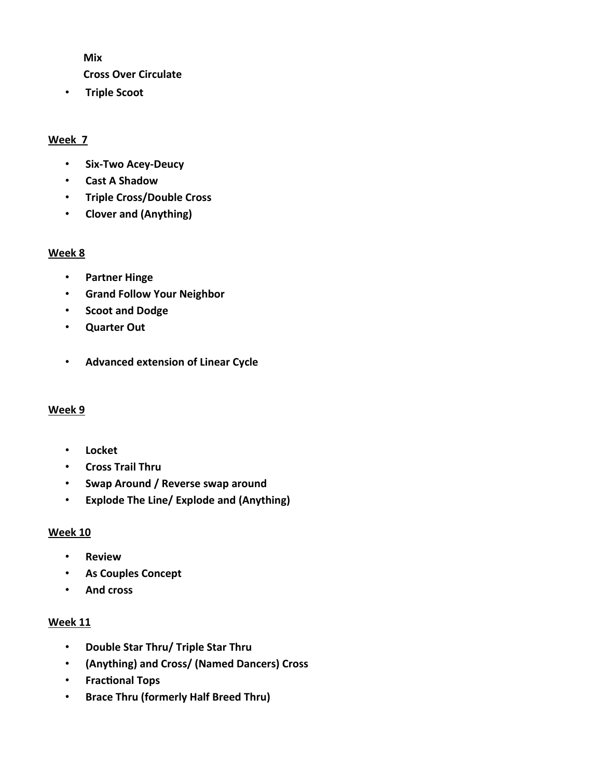**Mix** 

- **Cross Over Circulate**
- **Triple Scoot**

# **Week 7**

- **Six-Two Acey-Deucy**
- **Cast A Shadow**
- **Triple Cross/Double Cross**
- **Clover and (Anything)**

### **Week 8**

- **Partner Hinge**
- **Grand Follow Your Neighbor**
- **Scoot and Dodge**
- **Quarter Out**
- **Advanced extension of Linear Cycle**

# **Week 9**

- **Locket**
- **Cross Trail Thru**
- **Swap Around / Reverse swap around**
- **Explode The Line/ Explode and (Anything)**

# **Week 10**

- **Review**
- **As Couples Concept**
- **And cross**

# **Week 11**

- **Double Star Thru/ Triple Star Thru**
- **(Anything) and Cross/ (Named Dancers) Cross**
- **•** Fractional Tops
- **Brace Thru (formerly Half Breed Thru)**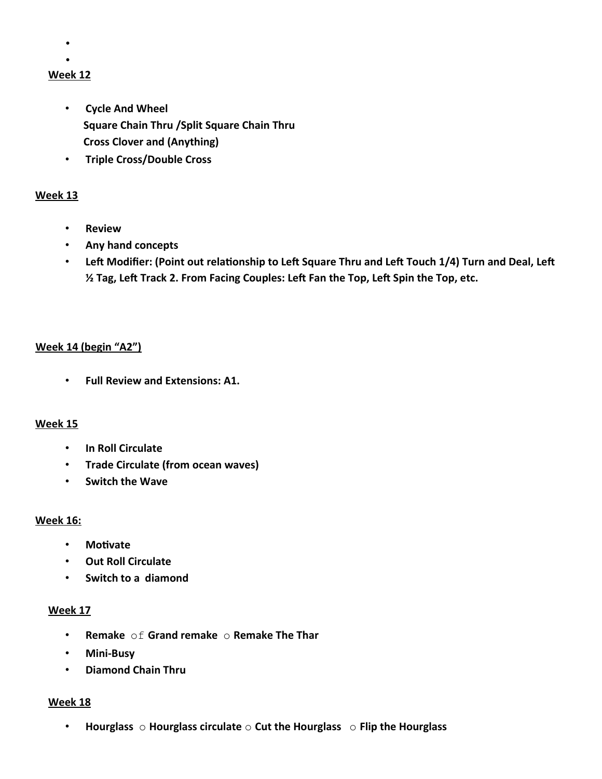- •
- •

# **Week 12**

- **Cycle And Wheel Square Chain Thru /Split Square Chain Thru Cross Clover and (Anything)**
- **Triple Cross/Double Cross**

# **Week 13**

- **Review**
- **Any hand concepts**
- Left Modifier: (Point out relationship to Left Square Thru and Left Touch 1/4) Turn and Deal, Left **½ Tag, Lef Track 2. From Facing Couples: Lef Fan the Top, Lef Spin the Top, etc.**

# **Week 14 (begin "A2")**

• **Full Review and Extensions: A1.**

# **Week 15**

- **In Roll Circulate**
- **Trade Circulate (from ocean waves)**
- **Switch the Wave**

# **Week 16:**

- **Motvate**
- **Out Roll Circulate**
- **Switch to a diamond**

# **Week 17**

- **Remake** of **Grand remake** o **Remake The Thar**
- **Mini-Busy**
- **Diamond Chain Thru**

# **Week 18**

• **Hourglass** o **Hourglass circulate** o **Cut the Hourglass** o **Flip the Hourglass**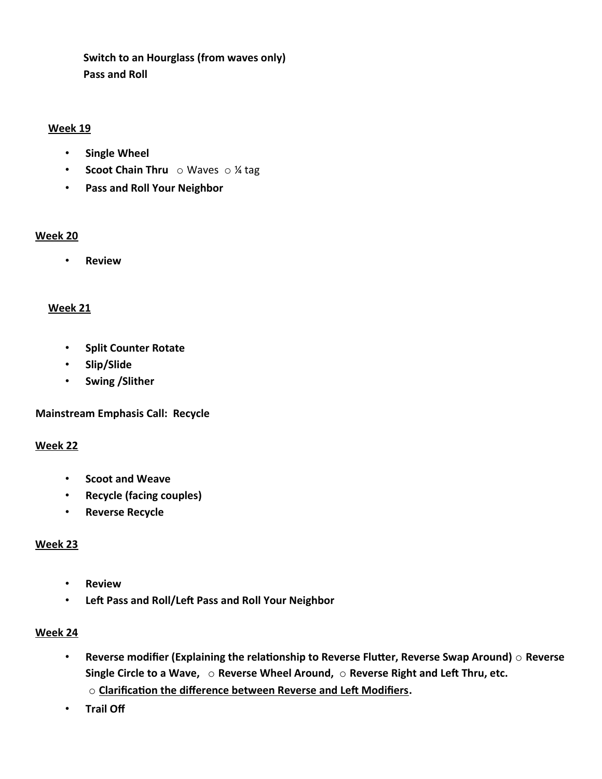**Switch to an Hourglass (from waves only) Pass and Roll** 

### **Week 19**

- **Single Wheel**
- **Scoot Chain Thru** o Waves o ¼ tag
- **Pass and Roll Your Neighbor**

# **Week 20**

• **Review**

# **Week 21**

- **Split Counter Rotate**
- **Slip/Slide**
- **Swing /Slither**

**Mainstream Emphasis Call: Recycle** 

# **Week 22**

- **Scoot and Weave**
- **Recycle (facing couples)**
- **Reverse Recycle**

# **Week 23**

- **Review**
- **Left Pass and Roll/Left Pass and Roll Your Neighbor**

# **Week 24**

- **Reverse modifer (Explaining the relatonship to Reverse Fluter, Reverse Swap Around)** o **Reverse** Single Circle to a Wave,  $\circ$  Reverse Wheel Around,  $\circ$  Reverse Right and Left Thru, etc. o **Clarifcaton the diference between Reverse and Lef Modifers.**
- **Trail Of**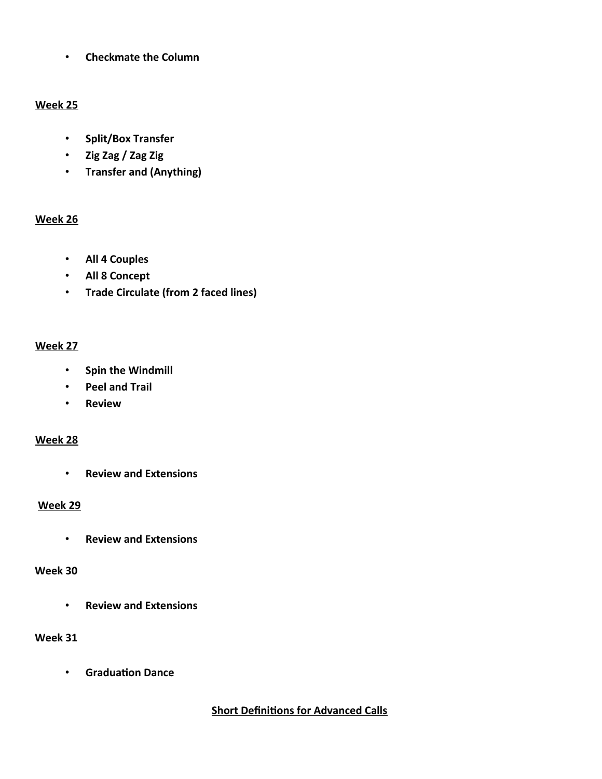• **Checkmate the Column** 

# **Week 25**

- **Split/Box Transfer**
- **Zig Zag / Zag Zig**
- **Transfer and (Anything)**

# **Week 26**

- **All 4 Couples**
- **All 8 Concept**
- **Trade Circulate (from 2 faced lines)**

# **Week 27**

- **Spin the Windmill**
- **Peel and Trail**
- **Review**

# **Week 28**

• **Review and Extensions**

# **Week 29**

• **Review and Extensions** 

# **Week 30**

• **Review and Extensions** 

# **Week 31**

• **Graduaton Dance**

# **Short Definitions for Advanced Calls**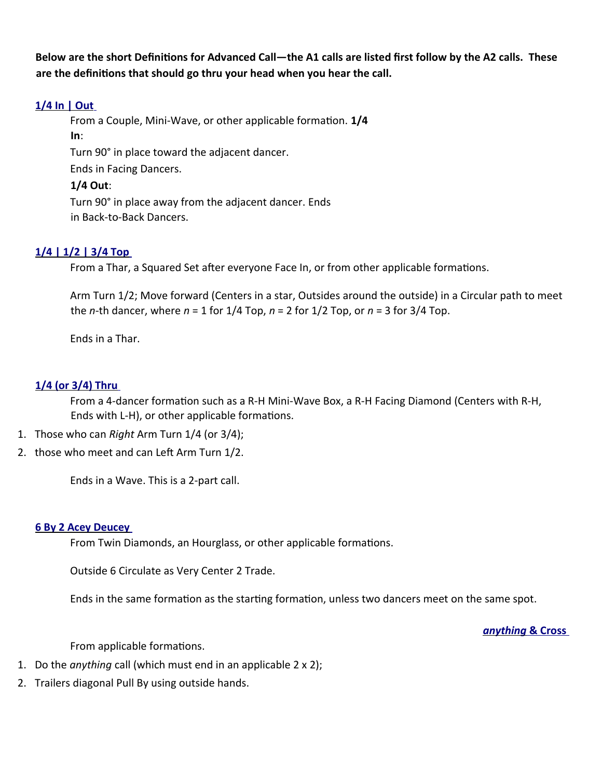**Below are the short Defnitons for Advanced Call—the A1 calls are listed frst follow by the A2 calls. These are the defnitons that should go thru your head when you hear the call.** 

# **[1/4 In | Out](http://www.ceder.net/def/quarterinout.php4?language=usa)**

From a Couple, Mini-Wave, or other applicable formation. 1/4 **In**: Turn 90° in place toward the adjacent dancer. Ends in Facing Dancers. **1/4 Out**: Turn 90° in place away from the adjacent dancer. Ends

in Back-to-Back Dancers.

# **[1/4 | 1/2 | 3/4 Top](http://www.ceder.net/def/123top.php4?language=usa)**

From a Thar, a Squared Set after everyone Face In, or from other applicable formations.

Arm Turn 1/2; Move forward (Centers in a star, Outsides around the outside) in a Circular path to meet the *n*-th dancer, where *n* = 1 for 1/4 Top, *n* = 2 for 1/2 Top, or *n* = 3 for 3/4 Top.

Ends in a Thar.

# **[1/4 \(or 3/4\) Thru](http://www.ceder.net/def/14thru.php4?language=usa)**

From a 4-dancer formation such as a R-H Mini-Wave Box, a R-H Facing Diamond (Centers with R-H, Ends with L-H), or other applicable formations.

- 1. Those who can *Right* Arm Turn 1/4 (or 3/4);
- 2. those who meet and can Left Arm Turn 1/2.

Ends in a Wave. This is a 2-part call.

# **[6 By 2 Acey Deucey](http://www.ceder.net/def/6by2aceydeucey.php4?language=usa)**

From Twin Diamonds, an Hourglass, or other applicable formations.

Outside 6 Circulate as Very Center 2 Trade.

Ends in the same formation as the starting formation, unless two dancers meet on the same spot.

 *[anything](http://www.ceder.net/def/andcross.php4?language=usa)* **[& Cross](http://www.ceder.net/def/andcross.php4?language=usa)**

From applicable formations.

- 1. Do the *anything* call (which must end in an applicable 2 x 2);
- 2. Trailers diagonal Pull By using outside hands.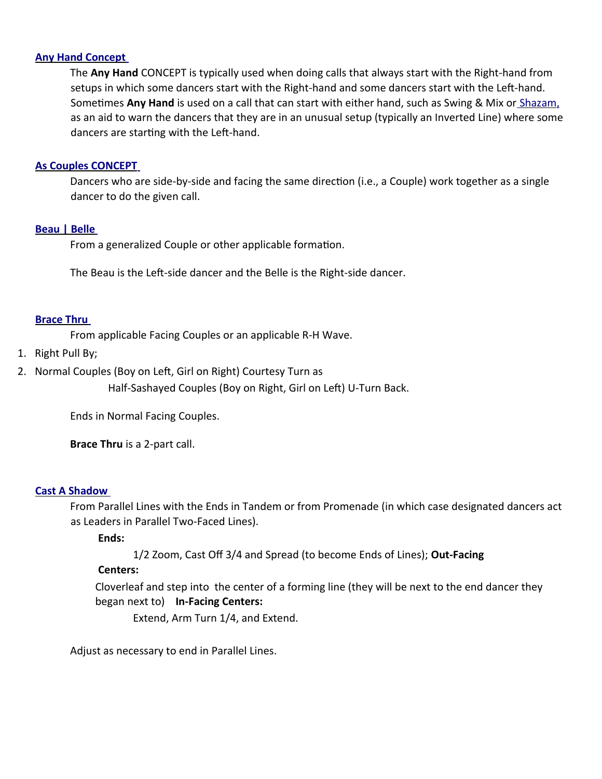### **[Any Hand Concept](http://www.ceder.net/def/anyhand.php4?language=usa)**

The **Any Hand** CONCEPT is typically used when doing calls that always start with the Right-hand from setups in which some dancers start with the Right-hand and some dancers start with the Left-hand. Sometimes Any Hand is used on a call that can start with either hand, such as Swing & Mix or [Shazam,](http://www.ceder.net/def/shazam.php4?language=usa) as an aid to warn the dancers that they are in an unusual setup (typically an Inverted Line) where some dancers are starting with the Left-hand.

### **[As Couples CONCEPT](http://www.ceder.net/def/ascouples.php4?language=usa)**

Dancers who are side-by-side and facing the same directon (i.e., a Couple) work together as a single dancer to do the given call.

### **[Beau | Belle](http://www.ceder.net/def/beaubelle.php4?language=usa)**

From a generalized Couple or other applicable formation.

The Beau is the Left-side dancer and the Belle is the Right-side dancer.

### **[Brace Thru](http://www.ceder.net/def/halfbreedthru.php4?language=usa)**

From applicable Facing Couples or an applicable R-H Wave.

- 1. Right Pull By;
- 2. Normal Couples (Boy on Left, Girl on Right) Courtesy Turn as

Half-Sashayed Couples (Boy on Right, Girl on Left) U-Turn Back.

Ends in Normal Facing Couples.

**Brace Thru** is a 2-part call.

#### **[Cast A Shadow](http://www.ceder.net/def/castashadow.php4?language=usa)**

From Parallel Lines with the Ends in Tandem or from Promenade (in which case designated dancers act as Leaders in Parallel Two-Faced Lines).

# **Ends:**

1/2 Zoom, Cast Off 3/4 and Spread (to become Ends of Lines); Out-Facing

# **Centers:**

 Cloverleaf and step into the center of a forming line (they will be next to the end dancer they began next to) **In-Facing Centers:**

Extend, Arm Turn 1/4, and Extend.

Adjust as necessary to end in Parallel Lines.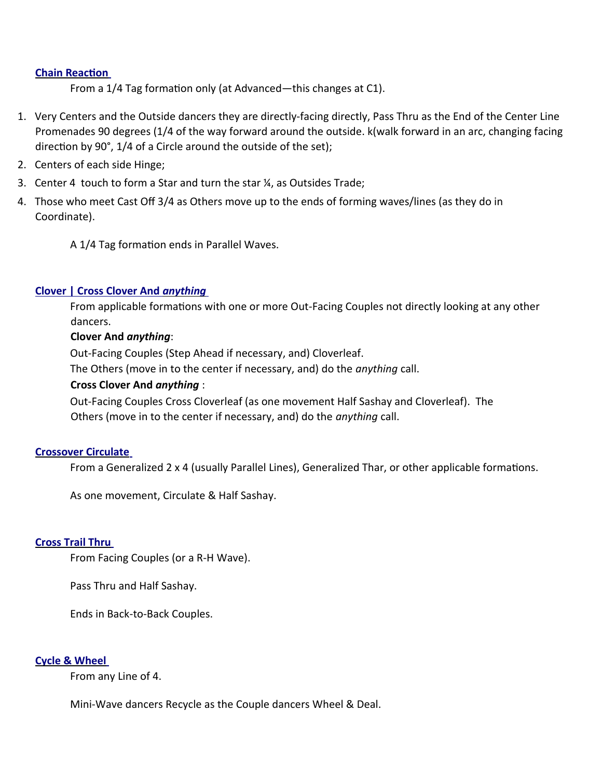### **Chain Reaction**

From a 1/4 Tag formation only (at Advanced—this changes at C1).

- 1. Very Centers and the Outside dancers they are directly-facing directly, Pass Thru as the End of the Center Line Promenades 90 degrees (1/4 of the way forward around the outside. k(walk forward in an arc, changing facing direction by 90 $^{\circ}$ , 1/4 of a Circle around the outside of the set);
- 2. Centers of each side Hinge;
- 3. Center 4 touch to form a Star and turn the star ¼, as Outsides Trade;
- 4. Those who meet Cast Of 3/4 as Others move up to the ends of forming waves/lines (as they do in Coordinate).
	- A 1/4 Tag formation ends in Parallel Waves.

# **[Clover | Cross Clover And](http://www.ceder.net/def/cloverand.php4?language=usa)** *[anything](http://www.ceder.net/def/cloverand.php4?language=usa)*

From applicable formations with one or more Out-Facing Couples not directly looking at any other dancers.

# **Clover And** *anything*:

Out-Facing Couples (Step Ahead if necessary, and) Cloverleaf. The Others (move in to the center if necessary, and) do the *anything* call.

# **Cross Clover And** *anything* :

Out-Facing Couples Cross Cloverleaf (as one movement Half Sashay and Cloverleaf). The Others (move in to the center if necessary, and) do the *anything* call.

# **[Crossover Circulate](http://www.ceder.net/def/crossovercirc.php4?language=usa)**

From a Generalized 2 x 4 (usually Parallel Lines), Generalized Thar, or other applicable formations.

As one movement, Circulate & Half Sashay.

# **[Cross Trail Thru](http://www.ceder.net/def/crosstrailthru.php4?language=usa)**

From Facing Couples (or a R-H Wave).

Pass Thru and Half Sashay.

Ends in Back-to-Back Couples.

# **[Cycle & Wheel](http://www.ceder.net/def/cycleandwheel.php4?language=usa)**

From any Line of 4.

Mini-Wave dancers Recycle as the Couple dancers Wheel & Deal.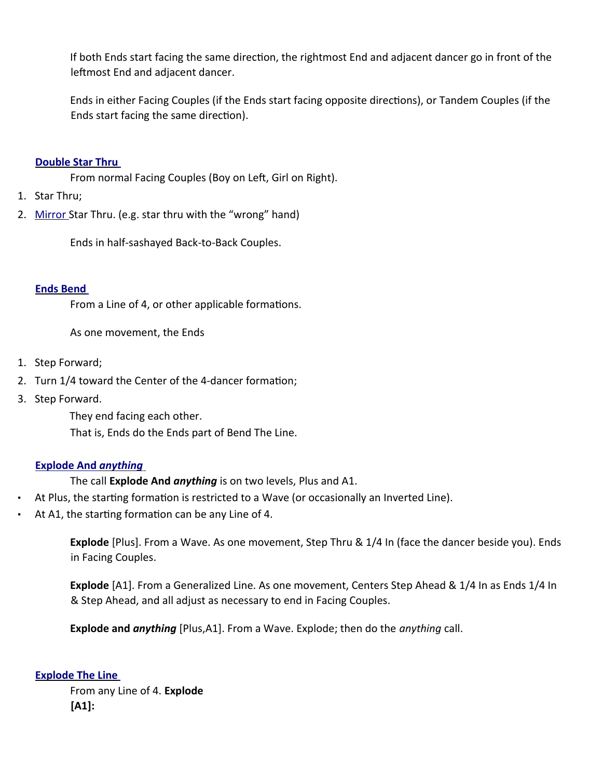If both Ends start facing the same direction, the rightmost End and adjacent dancer go in front of the leftmost End and adjacent dancer.

Ends in either Facing Couples (if the Ends start facing opposite directions), or Tandem Couples (if the Ends start facing the same direction).

# **[Double Star Thru](http://www.ceder.net/def/doublestarthru.php4?language=usa)**

From normal Facing Couples (Boy on Left, Girl on Right).

- 1. Star Thru;
- 2. [Mirror](http://www.ceder.net/def/mirror.php4?language=usa) Star Thru. (e.g. star thru with the "wrong" hand)

Ends in half-sashayed Back-to-Back Couples.

# **[Ends Bend](http://www.ceder.net/def/endsbend.php4?language=usa)**

From a Line of 4, or other applicable formations.

As one movement, the Ends

- 1. Step Forward;
- 2. Turn 1/4 toward the Center of the 4-dancer formation;
- 3. Step Forward.

They end facing each other.

That is, Ends do the Ends part of Bend The Line.

# **[Explode And](http://www.ceder.net/def/explode.php4?language=usa)** *[anything](http://www.ceder.net/def/explode.php4?language=usa)*

The call **Explode And** *anything* is on two levels, Plus and A1.

- At Plus, the starting formation is restricted to a Wave (or occasionally an Inverted Line).
- At A1, the starting formation can be any Line of 4.

**Explode** [Plus]. From a Wave. As one movement, Step Thru & 1/4 In (face the dancer beside you). Ends in Facing Couples.

**Explode** [A1]. From a Generalized Line. As one movement, Centers Step Ahead & 1/4 In as Ends 1/4 In & Step Ahead, and all adjust as necessary to end in Facing Couples.

**Explode and** *anything* [Plus,A1]. From a Wave. Explode; then do the *anything* call.

 **[Explode The Line](http://www.ceder.net/def/explodetheline.php4?language=usa)**

From any Line of 4. **Explode [A1]:**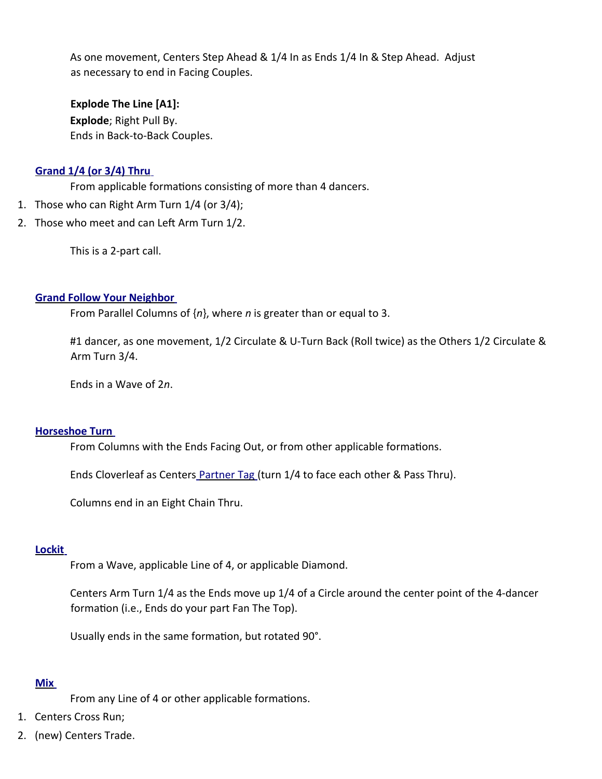As one movement, Centers Step Ahead & 1/4 In as Ends 1/4 In & Step Ahead. Adjust as necessary to end in Facing Couples.

**Explode The Line [A1]: Explode**; Right Pull By. Ends in Back-to-Back Couples.

# **[Grand 1/4 \(or 3/4\) Thru](http://www.ceder.net/def/grand14thru.php4?language=usa)**

From applicable formations consisting of more than 4 dancers.

- 1. Those who can Right Arm Turn 1/4 (or 3/4);
- 2. Those who meet and can Left Arm Turn 1/2.

This is a 2-part call.

### **[Grand Follow Your Neighbor](http://www.ceder.net/def/grandfyn.php4?language=usa)**

From Parallel Columns of {*n*}, where *n* is greater than or equal to 3.

#1 dancer, as one movement, 1/2 Circulate & U-Turn Back (Roll twice) as the Others 1/2 Circulate & Arm Turn 3/4.

Ends in a Wave of 2*n*.

#### **[Horseshoe Turn](http://www.ceder.net/def/horseshoeturn.php4?language=usa)**

From Columns with the Ends Facing Out, or from other applicable formations.

Ends Cloverleaf as Centers [Partner Tag](http://www.ceder.net/def/partnertag.php4?language=usa) (turn 1/4 to face each other & Pass Thru).

Columns end in an Eight Chain Thru.

# **[Lockit](http://www.ceder.net/def/lockit.php4?language=usa)**

From a Wave, applicable Line of 4, or applicable Diamond.

Centers Arm Turn 1/4 as the Ends move up 1/4 of a Circle around the center point of the 4-dancer formation (i.e., Ends do your part Fan The Top).

Usually ends in the same formation, but rotated 90°.

# **[Mix](http://www.ceder.net/def/mix.php4?language=usa)**

From any Line of 4 or other applicable formations.

- 1. Centers Cross Run;
- 2. (new) Centers Trade.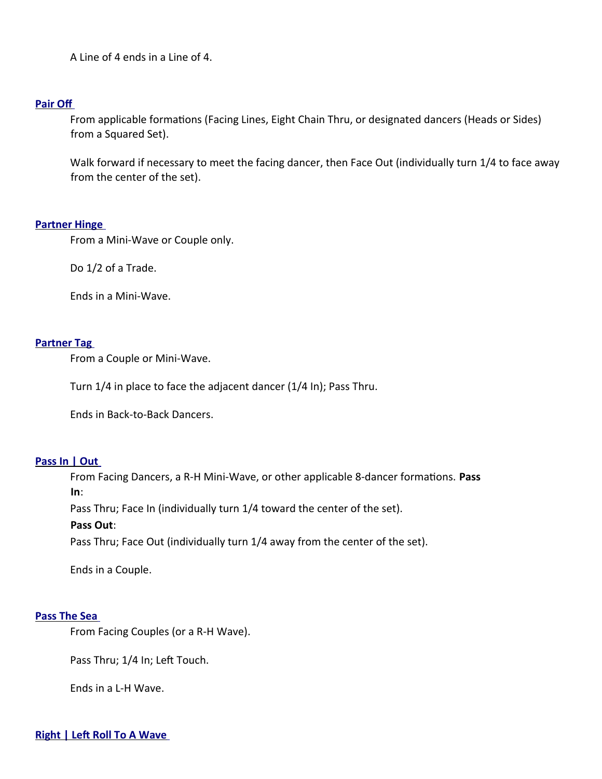A Line of 4 ends in a Line of 4.

#### **[Pair Of](http://www.ceder.net/def/pairoff.php4?language=usa)**

From applicable formations (Facing Lines, Eight Chain Thru, or designated dancers (Heads or Sides) from a Squared Set).

Walk forward if necessary to meet the facing dancer, then Face Out (individually turn 1/4 to face away from the center of the set).

### **[Partner Hinge](http://www.ceder.net/def/partnerhinge.php4?language=usa)**

From a Mini-Wave or Couple only.

Do 1/2 of a Trade.

Ends in a Mini-Wave.

### **[Partner Tag](http://www.ceder.net/def/partnertag.php4?language=usa)**

From a Couple or Mini-Wave.

Turn 1/4 in place to face the adjacent dancer (1/4 In); Pass Thru.

Ends in Back-to-Back Dancers.

# **[Pass In | Out](http://www.ceder.net/def/passinout.php4?language=usa)**

From Facing Dancers, a R-H Mini-Wave, or other applicable 8-dancer formatons. **Pass In**: Pass Thru; Face In (individually turn 1/4 toward the center of the set). **Pass Out**: Pass Thru; Face Out (individually turn 1/4 away from the center of the set).

Ends in a Couple.

#### **[Pass The Sea](http://www.ceder.net/def/passthesea.php4?language=usa)**

From Facing Couples (or a R-H Wave).

Pass Thru; 1/4 In; Left Touch.

Ends in a L-H Wave.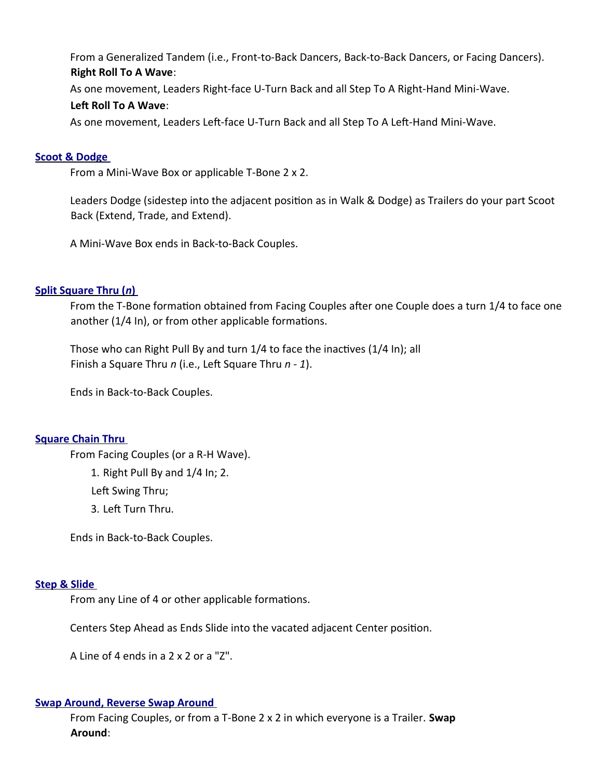From a Generalized Tandem (i.e., Front-to-Back Dancers, Back-to-Back Dancers, or Facing Dancers). **Right Roll To A Wave**:

As one movement, Leaders Right-face U-Turn Back and all Step To A Right-Hand Mini-Wave.

# **Left Roll To A Wave:**

As one movement, Leaders Left-face U-Turn Back and all Step To A Left-Hand Mini-Wave.

# **[Scoot & Dodge](http://www.ceder.net/def/scootanddodge.php4?language=usa)**

From a Mini-Wave Box or applicable T-Bone 2 x 2.

Leaders Dodge (sidestep into the adjacent positon as in Walk & Dodge) as Trailers do your part Scoot Back (Extend, Trade, and Extend).

A Mini-Wave Box ends in Back-to-Back Couples.

# **Split Square Thru ([n](http://www.ceder.net/def/splitsquarethru.php4?language=usa))**

From the T-Bone formaton obtained from Facing Couples afer one Couple does a turn 1/4 to face one another (1/4 In), or from other applicable formations.

Those who can Right Pull By and turn 1/4 to face the inactives (1/4 In); all Finish a Square Thru *n* (i.e., Left Square Thru *n - 1*).

Ends in Back-to-Back Couples.

# **[Square Chain Thru](http://www.ceder.net/def/squarechainthru.php4?language=usa)**

From Facing Couples (or a R-H Wave).

1. Right Pull By and 1/4 In; 2.

Left Swing Thru;

3. Left Turn Thru.

Ends in Back-to-Back Couples.

# **[Step & Slide](http://www.ceder.net/def/stepandslide.php4?language=usa)**

From any Line of 4 or other applicable formations.

Centers Step Ahead as Ends Slide into the vacated adjacent Center positon.

A Line of 4 ends in a 2 x 2 or a "Z".

# **[Swap Around, Reverse Swap Around](http://www.ceder.net/def/swaparound.php4?language=usa)**

From Facing Couples, or from a T-Bone 2 x 2 in which everyone is a Trailer. **Swap Around**: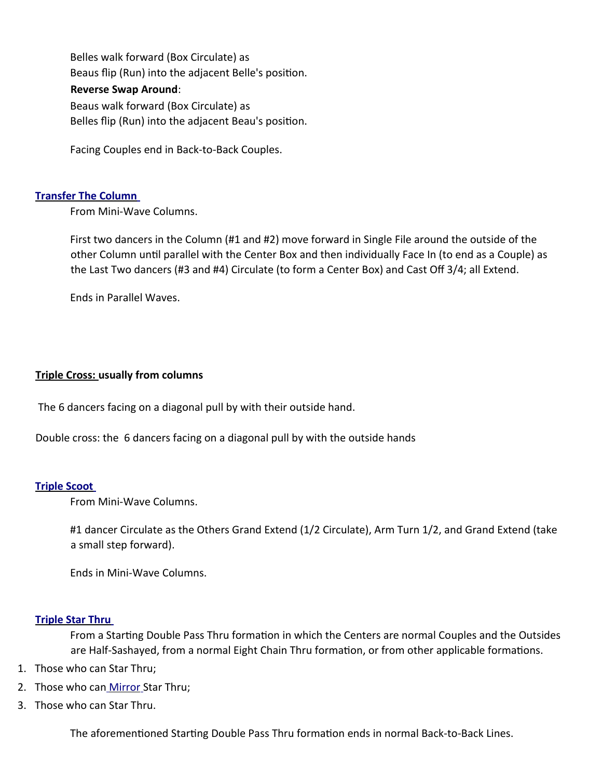Belles walk forward (Box Circulate) as Beaus fip (Run) into the adjacent Belle's positon.

# **Reverse Swap Around**:

Beaus walk forward (Box Circulate) as Belles fip (Run) into the adjacent Beau's positon.

Facing Couples end in Back-to-Back Couples.

# **[Transfer The Column](http://www.ceder.net/def/transferthecolumn.php4?language=usa)**

From Mini-Wave Columns.

First two dancers in the Column (#1 and #2) move forward in Single File around the outside of the other Column until parallel with the Center Box and then individually Face In (to end as a Couple) as the Last Two dancers (#3 and #4) Circulate (to form a Center Box) and Cast Off 3/4; all Extend.

Ends in Parallel Waves.

# **Triple Cross: usually from columns**

The 6 dancers facing on a diagonal pull by with their outside hand.

Double cross: the 6 dancers facing on a diagonal pull by with the outside hands

# **[Triple Scoot](http://www.ceder.net/def/triplescoot.php4?language=usa)**

From Mini-Wave Columns.

#1 dancer Circulate as the Others Grand Extend (1/2 Circulate), Arm Turn 1/2, and Grand Extend (take a small step forward).

Ends in Mini-Wave Columns.

# **[Triple Star Thru](http://www.ceder.net/def/triplestarthru.php4?language=usa)**

From a Starting Double Pass Thru formation in which the Centers are normal Couples and the Outsides are Half-Sashayed, from a normal Eight Chain Thru formation, or from other applicable formations.

- 1. Those who can Star Thru;
- 2. Those who can [Mirror](http://www.ceder.net/def/mirror.php4?language=usa) Star Thru;
- 3. Those who can Star Thru.

The aforementioned Starting Double Pass Thru formation ends in normal Back-to-Back Lines.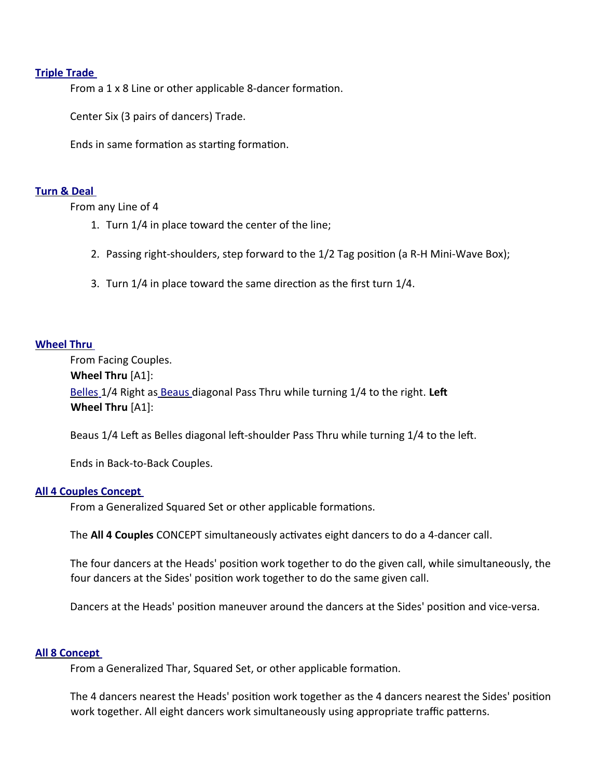#### **[Triple Trade](http://www.ceder.net/def/tripletrade.php4?language=usa)**

From a 1 x 8 Line or other applicable 8-dancer formation.

Center Six (3 pairs of dancers) Trade.

Ends in same formation as starting formation.

#### **[Turn & Deal](http://www.ceder.net/def/turnanddeal.php4?language=usa)**

From any Line of 4

- 1. Turn 1/4 in place toward the center of the line;
- 2. Passing right-shoulders, step forward to the 1/2 Tag positon (a R-H Mini-Wave Box);
- 3. Turn 1/4 in place toward the same direction as the first turn 1/4.

#### **[Wheel Thru](http://www.ceder.net/def/wheelthru.php4?language=usa)**

From Facing Couples. **Wheel Thru** [A1]:  [Belles](http://www.ceder.net/def/beaubelle.php4?language=usa) 1/4 Right as [Beaus](http://www.ceder.net/def/beaubelle.php4?language=usa) diagonal Pass Thru while turning 1/4 to the right. **Lef Wheel Thru** [A1]:

Beaus 1/4 Left as Belles diagonal left-shoulder Pass Thru while turning 1/4 to the left.

Ends in Back-to-Back Couples.

#### **[All 4 Couples Concept](http://www.ceder.net/def/all4couples.php4?language=usa)**

From a Generalized Squared Set or other applicable formations.

The **All 4 Couples** CONCEPT simultaneously activates eight dancers to do a 4-dancer call.

The four dancers at the Heads' positon work together to do the given call, while simultaneously, the four dancers at the Sides' position work together to do the same given call.

Dancers at the Heads' positon maneuver around the dancers at the Sides' positon and vice-versa.

#### **[All 8 Concept](http://www.ceder.net/def/all8.php4?language=usa)**

From a Generalized Thar, Squared Set, or other applicable formation.

The 4 dancers nearest the Heads' positon work together as the 4 dancers nearest the Sides' positon work together. All eight dancers work simultaneously using appropriate traffic patterns.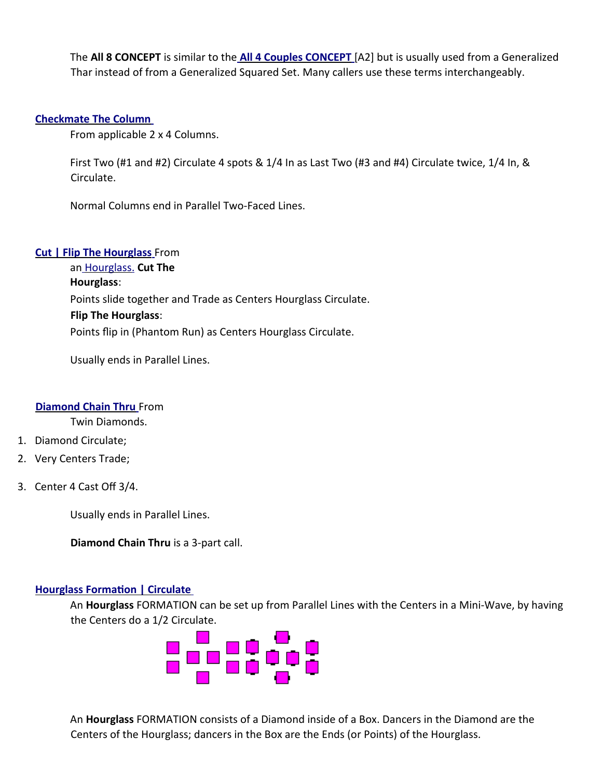The **All 8 CONCEPT** is similar to the **[All 4 Couples CONCEPT](http://www.ceder.net/def/all4couples.php4?language=usa)** [A2] but is usually used from a Generalized Thar instead of from a Generalized Squared Set. Many callers use these terms interchangeably.

# **[Checkmate The Column](http://www.ceder.net/def/checkmate.php4?language=usa)**

From applicable 2 x 4 Columns.

First Two (#1 and #2) Circulate 4 spots & 1/4 In as Last Two (#3 and #4) Circulate twice, 1/4 In, & Circulate.

Normal Columns end in Parallel Two-Faced Lines.

# **[Cut | Flip The Hourglass](http://www.ceder.net/def/cutthehourglass.php4?language=usa)** From

an [Hourglass.](http://www.ceder.net/def/hourglass.php4?language=usa) **Cut The Hourglass**: Points slide together and Trade as Centers Hourglass Circulate. **Flip The Hourglass**: Points fip in (Phantom Run) as Centers Hourglass Circulate.

Usually ends in Parallel Lines.

# **[Diamond Chain Thru](http://www.ceder.net/def/diamondchainthru.php4?language=usa)** From

Twin Diamonds.

- 1. Diamond Circulate;
- 2. Very Centers Trade;
- 3. Center 4 Cast Off 3/4.

Usually ends in Parallel Lines.

**Diamond Chain Thru** is a 3-part call.

# **Hourglass Formation | Circulate**

An **Hourglass** FORMATION can be set up from Parallel Lines with the Centers in a Mini-Wave, by having the Centers do a 1/2 Circulate.



An **Hourglass** FORMATION consists of a Diamond inside of a Box. Dancers in the Diamond are the Centers of the Hourglass; dancers in the Box are the Ends (or Points) of the Hourglass.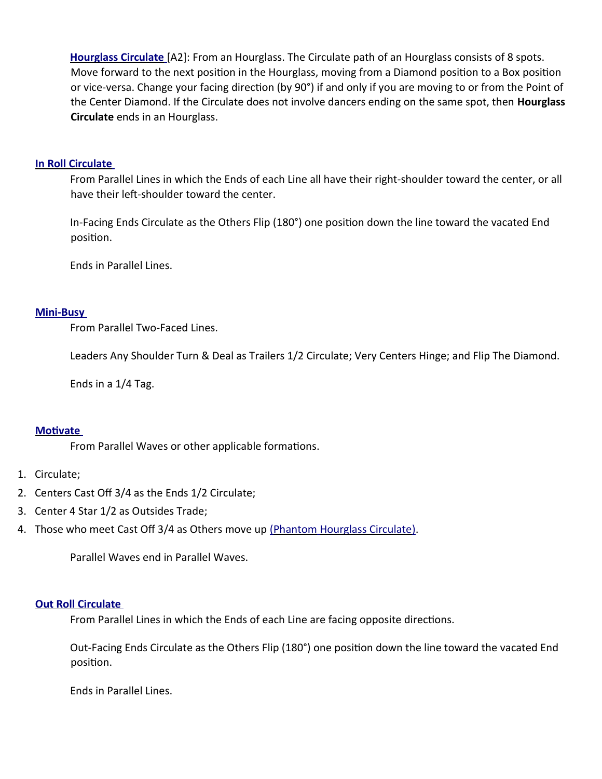**[Hourglass Circulate](http://www.ceder.net/def/hourglass.php4?language=usa)** [A2]: From an Hourglass. The Circulate path of an Hourglass consists of 8 spots. Move forward to the next position in the Hourglass, moving from a Diamond position to a Box position or vice-versa. Change your facing direction (by 90°) if and only if you are moving to or from the Point of the Center Diamond. If the Circulate does not involve dancers ending on the same spot, then **Hourglass Circulate** ends in an Hourglass.

#### **[In Roll Circulate](http://www.ceder.net/def/inrollcirculate.php4?language=usa)**

From Parallel Lines in which the Ends of each Line all have their right-shoulder toward the center, or all have their left-shoulder toward the center.

In-Facing Ends Circulate as the Others Flip (180°) one positon down the line toward the vacated End position.

Ends in Parallel Lines.

### **[Mini - Busy](http://www.ceder.net/def/minibusy.php4?language=usa)**

From Parallel Two-Faced Lines.

Leaders Any Shoulder Turn & Deal as Trailers 1/2 Circulate; Very Centers Hinge; and Flip The Diamond.

Ends in a 1/4 Tag.

#### **Motivate**

From Parallel Waves or other applicable formations.

# 1. Circulate;

- 2. Centers Cast Off 3/4 as the Ends 1/2 Circulate;
- 3. Center 4 Star 1/2 as Outsides Trade;
- 4. Those who meet Cast Off 3/4 as Others move up (Phantom [Hourglass Circulate\).](http://www.ceder.net/def/hourglass.php4?language=usa)

Parallel Waves end in Parallel Waves.

#### **[Out Roll Circulate](http://www.ceder.net/def/outrollcirculate.php4?language=usa)**

From Parallel Lines in which the Ends of each Line are facing opposite directions.

Out-Facing Ends Circulate as the Others Flip (180°) one positon down the line toward the vacated End position.

Ends in Parallel Lines.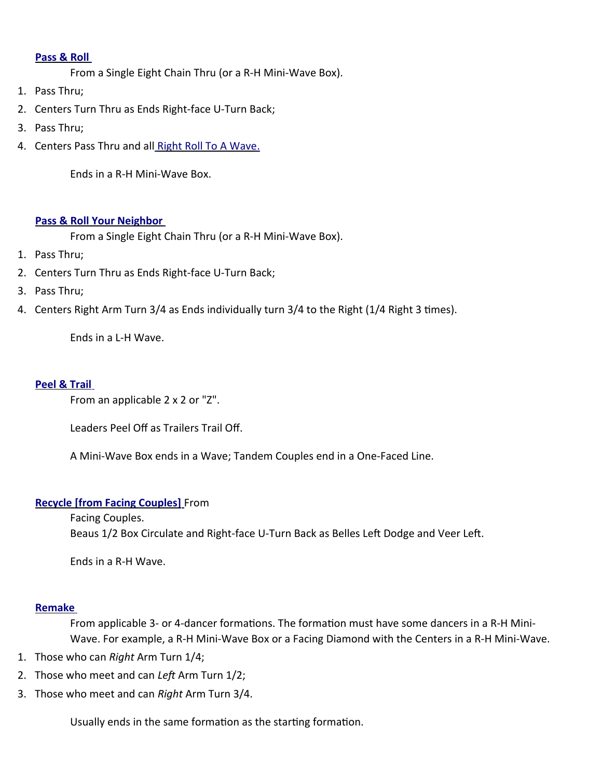### **[Pass & Roll](http://www.ceder.net/def/passandroll.php4?language=usa)**

From a Single Eight Chain Thru (or a R-H Mini-Wave Box).

- 1. Pass Thru;
- 2. Centers Turn Thru as Ends Right-face U-Turn Back;
- 3. Pass Thru;
- 4. Centers Pass Thru and all [Right Roll To A Wave.](http://www.ceder.net/def/rightrolltoawave.php4?language=usa)

Ends in a R-H Mini-Wave Box.

### **[Pass & Roll Your Neighbor](http://www.ceder.net/def/passandrollyourneighbor.php4?language=usa)**

From a Single Eight Chain Thru (or a R-H Mini-Wave Box).

- 1. Pass Thru;
- 2. Centers Turn Thru as Ends Right-face U-Turn Back;
- 3. Pass Thru;
- 4. Centers Right Arm Turn 3/4 as Ends individually turn 3/4 to the Right (1/4 Right 3 tmes).

Ends in a L-H Wave.

# **[Peel & Trail](http://www.ceder.net/def/peelandtrail.php4?language=usa)**

From an applicable 2 x 2 or "Z".

Leaders Peel Off as Trailers Trail Off.

A Mini-Wave Box ends in a Wave; Tandem Couples end in a One-Faced Line.

# **Recycle [from Facing Couples]** From

Facing Couples. Beaus 1/2 Box Circulate and Right-face U-Turn Back as Belles Left Dodge and Veer Left.

Ends in a R-H Wave.

# **[Remake](http://www.ceder.net/def/remake.php4?language=usa)**

From applicable 3- or 4-dancer formations. The formation must have some dancers in a R-H Mini-Wave. For example, a R-H Mini-Wave Box or a Facing Diamond with the Centers in a R-H Mini-Wave.

- 1. Those who can *Right* Arm Turn 1/4;
- 2. Those who meet and can *Lef* Arm Turn 1/2;
- 3. Those who meet and can *Right* Arm Turn 3/4.

Usually ends in the same formation as the starting formation.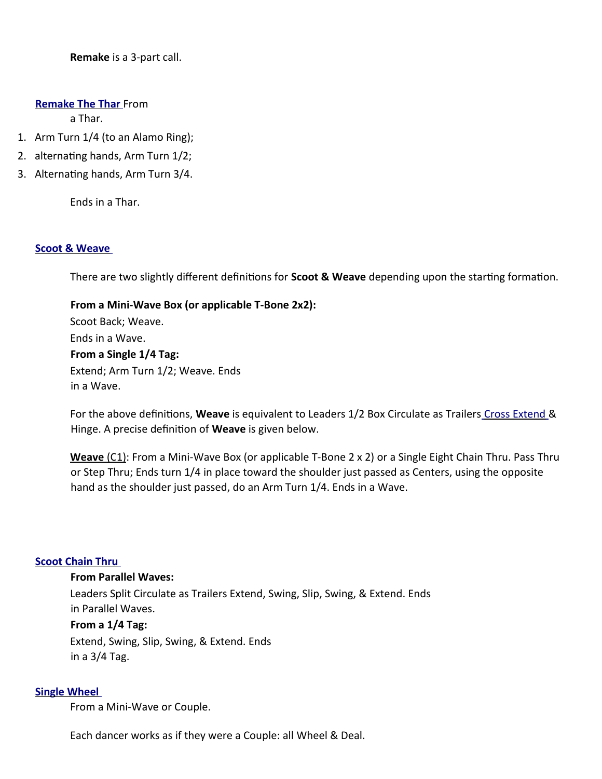**Remake** is a 3-part call.

#### **[Remake The Thar](http://www.ceder.net/def/remakethethar.php4?language=usa)** From

a Thar.

- 1. Arm Turn 1/4 (to an Alamo Ring);
- 2. alternating hands, Arm Turn 1/2;
- 3. Alternating hands, Arm Turn 3/4.

Ends in a Thar.

#### **[Scoot & Weave](http://www.ceder.net/def/scootandweave.php4?language=usa)**

There are two slightly different definitions for **Scoot & Weave** depending upon the starting formation.

**From a Mini-Wave Box (or applicable T-Bone 2x2):** Scoot Back; Weave. Ends in a Wave. **From a Single 1/4 Tag:** Extend; Arm Turn 1/2; Weave. Ends in a Wave.

For the above defnitons, **Weave** is equivalent to Leaders 1/2 Box Circulate as Trailers [Cross Extend](http://www.ceder.net/def/crossextend.php4?language=usa) & Hinge. A precise defniton of **Weave** is given below.

 **Weave** (C1): From a Mini-Wave Box (or applicable T-Bone 2 x 2) or a Single Eight Chain Thru. Pass Thru or Step Thru; Ends turn 1/4 in place toward the shoulder just passed as Centers, using the opposite hand as the shoulder just passed, do an Arm Turn 1/4. Ends in a Wave.

# **[Scoot Chain Thru](http://www.ceder.net/def/scootchainthru.php4?language=usa)**

#### **From Parallel Waves:**

Leaders Split Circulate as Trailers Extend, Swing, Slip, Swing, & Extend. Ends in Parallel Waves.

### **From a 1/4 Tag:**

Extend, Swing, Slip, Swing, & Extend. Ends in a 3/4 Tag.

### **[Single Wheel](http://www.ceder.net/def/singlewheel.php4?language=usa)**

From a Mini-Wave or Couple.

Each dancer works as if they were a Couple: all Wheel & Deal.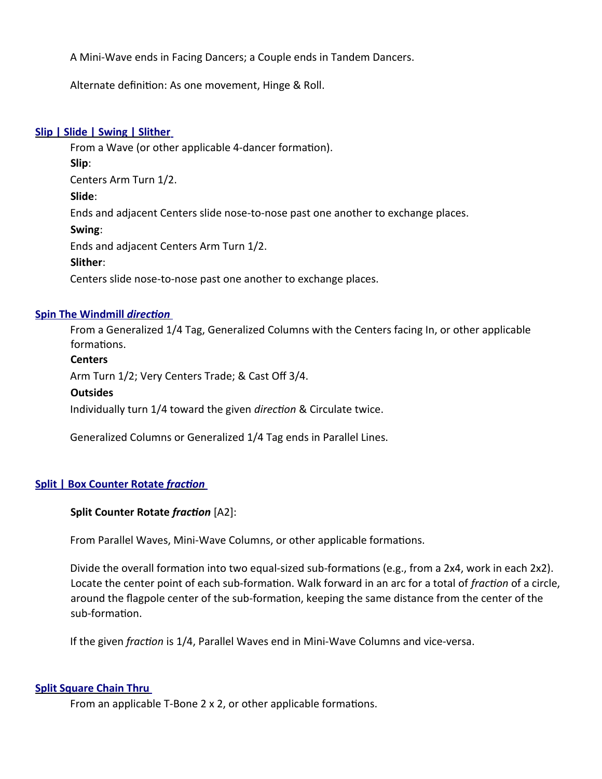A Mini-Wave ends in Facing Dancers; a Couple ends in Tandem Dancers.

Alternate defniton: As one movement, Hinge & Roll.

### **[Slip | Slide | Swing | Slither](http://www.ceder.net/def/slipslideswingslither.php4?language=usa)**

From a Wave (or other applicable 4-dancer formation). **Slip**: Centers Arm Turn 1/2. **Slide**: Ends and adjacent Centers slide nose-to-nose past one another to exchange places. **Swing**: Ends and adjacent Centers Arm Turn 1/2. **Slither**:

Centers slide nose-to-nose past one another to exchange places.

### **[Spin The Windmill](http://www.ceder.net/def/spinthewindmill.php4?language=usa)** *[directon](http://www.ceder.net/def/spinthewindmill.php4?language=usa)*

From a Generalized 1/4 Tag, Generalized Columns with the Centers facing In, or other applicable formations.

### **Centers**

Arm Turn 1/2; Very Centers Trade; & Cast Off 3/4.

#### **Outsides**

Individually turn 1/4 toward the given *directon* & Circulate twice.

Generalized Columns or Generalized 1/4 Tag ends in Parallel Lines.

# **[Split | Box Counter Rotate](http://www.ceder.net/def/splitcounterrotate.php4?language=usa)** *[fracton](http://www.ceder.net/def/splitcounterrotate.php4?language=usa)*

#### **Split Counter Rotate** *fracton* [A2]:

From Parallel Waves, Mini-Wave Columns, or other applicable formations.

Divide the overall formation into two equal-sized sub-formations (e.g., from a 2x4, work in each 2x2). Locate the center point of each sub-formaton. Walk forward in an arc for a total of *fracton* of a circle, around the flagpole center of the sub-formation, keeping the same distance from the center of the sub-formation.

If the given *fracton* is 1/4, Parallel Waves end in Mini-Wave Columns and vice-versa.

#### **[Split Square Chain Thru](http://www.ceder.net/def/splitsquarechainthru.php4?language=usa)**

From an applicable T-Bone 2 x 2, or other applicable formations.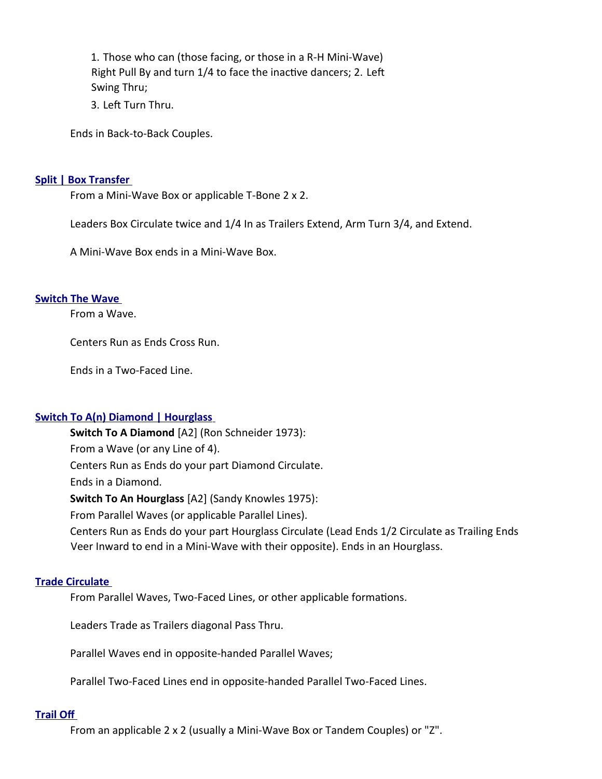1. Those who can (those facing, or those in a R-H Mini-Wave) Right Pull By and turn 1/4 to face the inactive dancers; 2. Left Swing Thru;

3. Left Turn Thru.

Ends in Back-to-Back Couples.

#### **[Split | Box Transfer](http://www.ceder.net/def/boxtransfer.php4?language=usa)**

From a Mini-Wave Box or applicable T-Bone 2 x 2.

Leaders Box Circulate twice and 1/4 In as Trailers Extend, Arm Turn 3/4, and Extend.

A Mini-Wave Box ends in a Mini-Wave Box.

### **[Switch The Wave](http://www.ceder.net/def/switchthewave.php4?language=usa)**

From a Wave.

Centers Run as Ends Cross Run.

Ends in a Two-Faced Line.

# **[Switch To A\(n\) Diamond | Hourglass](http://www.ceder.net/def/switchtoa.php4?language=usa)**

**Switch To A Diamond** [A2] (Ron Schneider 1973): From a Wave (or any Line of 4). Centers Run as Ends do your part Diamond Circulate. Ends in a Diamond. **Switch To An Hourglass** [A2] (Sandy Knowles 1975): From Parallel Waves (or applicable Parallel Lines). Centers Run as Ends do your part Hourglass Circulate (Lead Ends 1/2 Circulate as Trailing Ends Veer Inward to end in a Mini-Wave with their opposite). Ends in an Hourglass.

# **[Trade Circulate](http://www.ceder.net/def/tradecirculate.php4?language=usa)**

From Parallel Waves, Two-Faced Lines, or other applicable formations.

Leaders Trade as Trailers diagonal Pass Thru.

Parallel Waves end in opposite-handed Parallel Waves;

Parallel Two-Faced Lines end in opposite-handed Parallel Two-Faced Lines.

# **[Trail Of](http://www.ceder.net/def/trailoff.php4?language=usa)**

From an applicable 2 x 2 (usually a Mini-Wave Box or Tandem Couples) or "Z".